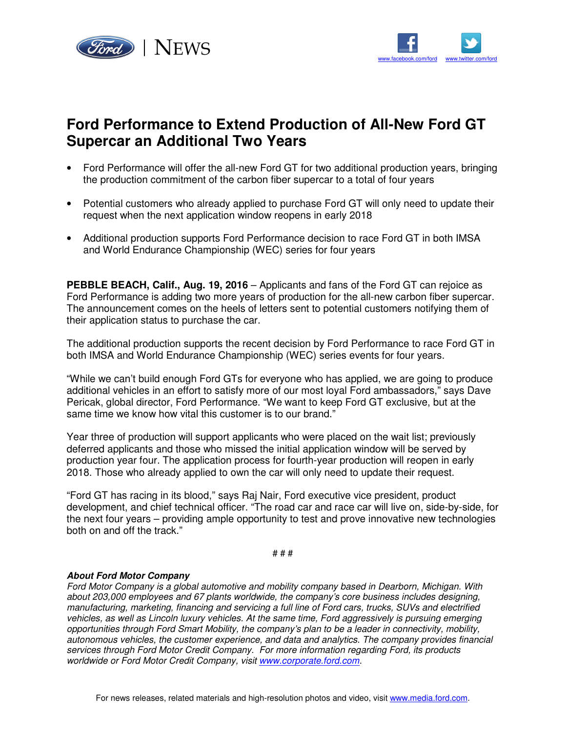



## **Ford Performance to Extend Production of All-New Ford GT Supercar an Additional Two Years**

- Ford Performance will offer the all-new Ford GT for two additional production years, bringing the production commitment of the carbon fiber supercar to a total of four years
- Potential customers who already applied to purchase Ford GT will only need to update their request when the next application window reopens in early 2018
- Additional production supports Ford Performance decision to race Ford GT in both IMSA and World Endurance Championship (WEC) series for four years

**PEBBLE BEACH, Calif., Aug. 19, 2016** – Applicants and fans of the Ford GT can rejoice as Ford Performance is adding two more years of production for the all-new carbon fiber supercar. The announcement comes on the heels of letters sent to potential customers notifying them of their application status to purchase the car.

The additional production supports the recent decision by Ford Performance to race Ford GT in both IMSA and World Endurance Championship (WEC) series events for four years.

"While we can't build enough Ford GTs for everyone who has applied, we are going to produce additional vehicles in an effort to satisfy more of our most loyal Ford ambassadors," says Dave Pericak, global director, Ford Performance. "We want to keep Ford GT exclusive, but at the same time we know how vital this customer is to our brand."

Year three of production will support applicants who were placed on the wait list; previously deferred applicants and those who missed the initial application window will be served by production year four. The application process for fourth-year production will reopen in early 2018. Those who already applied to own the car will only need to update their request.

"Ford GT has racing in its blood," says Raj Nair, Ford executive vice president, product development, and chief technical officer. "The road car and race car will live on, side-by-side, for the next four years – providing ample opportunity to test and prove innovative new technologies both on and off the track."

# # #

## **About Ford Motor Company**

Ford Motor Company is a global automotive and mobility company based in Dearborn, Michigan. With about 203,000 employees and 67 plants worldwide, the company's core business includes designing, manufacturing, marketing, financing and servicing a full line of Ford cars, trucks, SUVs and electrified vehicles, as well as Lincoln luxury vehicles. At the same time, Ford aggressively is pursuing emerging opportunities through Ford Smart Mobility, the company's plan to be a leader in connectivity, mobility, autonomous vehicles, the customer experience, and data and analytics. The company provides financial services through Ford Motor Credit Company. For more information regarding Ford, its products worldwide or Ford Motor Credit Company, visit www.corporate.ford.com.